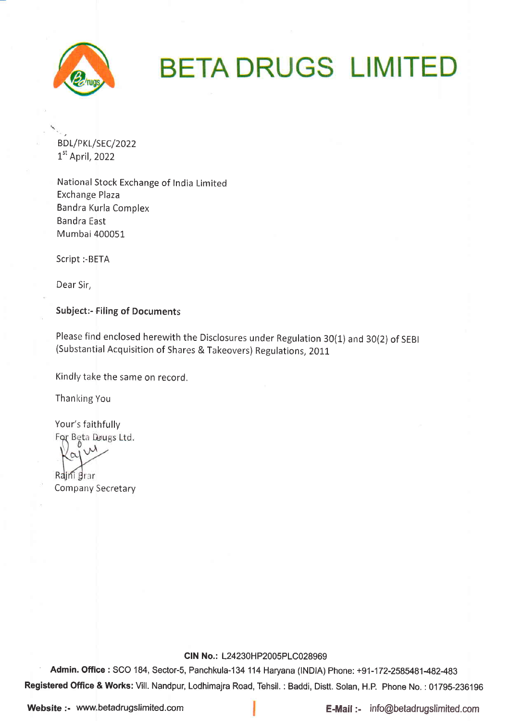

# **BETA DRUGS LIMITED**

BDL/PKL/SEC/2022  $1<sup>st</sup>$  April, 2022

National Stock Exchange of India Limited Exchange Plaza Bandra Kurla Complex Bandra East Mumbai 400051

Script :-BETA

Dear Sir,

Subject:- Filing of Documents

Please find enclosed herewith the Disclosures under Regulation 30(1) and 3O(2) of SEBI (Substantial Acquisition of Shares & Takeovers) Regulations, 2011

Kindly take the same on record.

Thanking You

Your's faithfully For Beta Drugs Ltd.  $\sqrt{\lambda}$  $\sim$ Rajni Brar Company Secretary

#### CIN No.: L24230HP2005PLC028969

Admin. Office: SCO 184, Sector-5, Panchkula-134 114 Haryana (INDIA) Phone: +91-172-2585481-482-483 Registered Office & Works: Vill. Nandpur, Lodhimajra Road, Tehsil. : Baddi, Distt. Solan, H.P. Phone No. : 01795-236196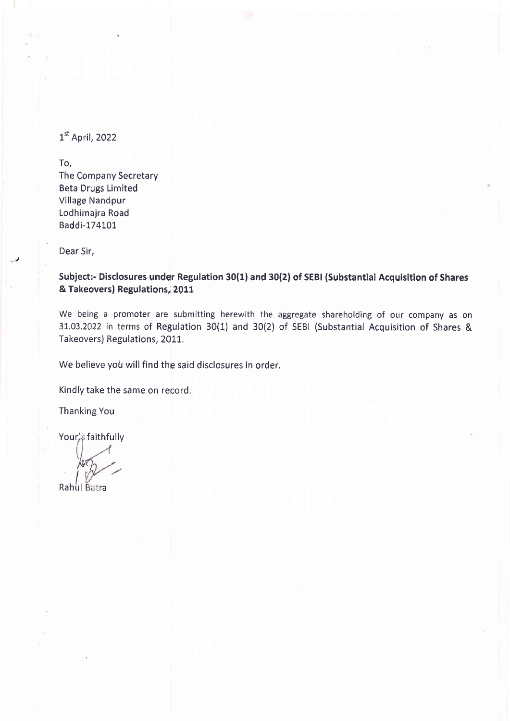$1<sup>st</sup>$  April, 2022

To,

The Company Secretary Beta Drugs Limited Village Nandpur Lodhimajra Road Baddi-174101

Dear 5ir,

Subject:- Disclosures under Regulation 30(1) and 30(2) of SEBI (Substantial Acquisition of Shares & Takeovers) Regulations, 2011

We being a promoter are submitting herewith the aggregate shareholding of our company as on 3Lo3.2022 in terms of Regulation 30(1) and 30(2) of SEBI (Substantial Acquisition of Shares & Takeovers) Regulations, 2011.

We believe you will find the said disclosures in order.

Kindly take the same on record,

Thanking You

Your's faithfully

Rahul Batra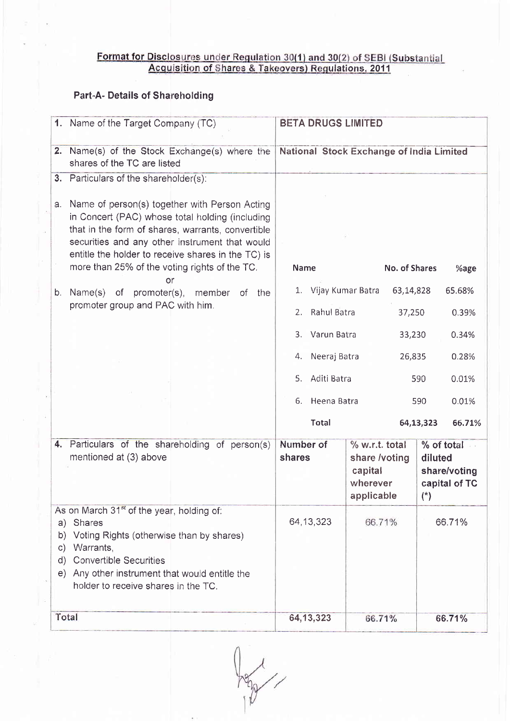# <u>Format for Disclosures under Regulation 30(1) and 30(2) of SEBI (Substantial<br>Acquisition of Shares & Takeovers) Regulations, 2011</u>

## Part-A. Details of Shareholding

|                                 | 1. Name of the Target Company (TC)                                                                                                                                                                                                                                                                             | <b>BETA DRUGS LIMITED</b>                |                                                                      |                      |                                             |
|---------------------------------|----------------------------------------------------------------------------------------------------------------------------------------------------------------------------------------------------------------------------------------------------------------------------------------------------------------|------------------------------------------|----------------------------------------------------------------------|----------------------|---------------------------------------------|
| 2.                              | Name(s) of the Stock Exchange(s) where the<br>shares of the TC are listed                                                                                                                                                                                                                                      | National Stock Exchange of India Limited |                                                                      |                      |                                             |
|                                 | 3. Particulars of the shareholder(s):                                                                                                                                                                                                                                                                          |                                          |                                                                      |                      |                                             |
| а.                              | Name of person(s) together with Person Acting<br>in Concert (PAC) whose total holding (including<br>that in the form of shares, warrants, convertible<br>securities and any other instrument that would<br>entitle the holder to receive shares in the TC) is<br>more than 25% of the voting rights of the TC. | Name                                     | <b>No. of Shares</b>                                                 |                      | %age                                        |
|                                 | or                                                                                                                                                                                                                                                                                                             |                                          |                                                                      |                      |                                             |
| b.                              | Name(s) of promoter(s),<br>member of the<br>promoter group and PAC with him.                                                                                                                                                                                                                                   | 1.                                       | Vijay Kumar Batra<br>63,14,828                                       |                      | 65.68%                                      |
|                                 |                                                                                                                                                                                                                                                                                                                | Rahul Batra<br>2.                        | 37,250                                                               |                      | 0.39%                                       |
|                                 |                                                                                                                                                                                                                                                                                                                | 3. Varun Batra                           | 33,230                                                               |                      | 0.34%                                       |
|                                 |                                                                                                                                                                                                                                                                                                                | Neeraj Batra<br>4.                       | 26,835                                                               |                      | 0.28%                                       |
|                                 |                                                                                                                                                                                                                                                                                                                | Aditi Batra<br>5.                        |                                                                      | 590                  | 0.01%                                       |
|                                 |                                                                                                                                                                                                                                                                                                                | Heena Batra<br>6.                        |                                                                      | 590                  | 0.01%                                       |
|                                 |                                                                                                                                                                                                                                                                                                                | <b>Total</b>                             |                                                                      | 64,13,323            | 66.71%                                      |
| 4.                              | Particulars of the shareholding of person(s)<br>mentioned at (3) above                                                                                                                                                                                                                                         | Number of<br>shares                      | % w.r.t. total<br>share /voting<br>capital<br>wherever<br>applicable | diluted<br>$(\star)$ | % of total<br>share/voting<br>capital of TC |
| b)<br>$\mathsf{c})$<br>d)<br>e) | As on March 31 <sup>st</sup> of the year, holding of:<br>a) Shares<br>Voting Rights (otherwise than by shares)<br>Warrants,<br><b>Convertible Securities</b><br>Any other instrument that would entitle the<br>holder to receive shares in the TC.                                                             | 64, 13, 323                              | 66.71%                                                               |                      | 66.71%                                      |
|                                 | Total                                                                                                                                                                                                                                                                                                          | 64, 13, 323                              | 66.71%                                                               |                      | 66.71%                                      |

**Paper**